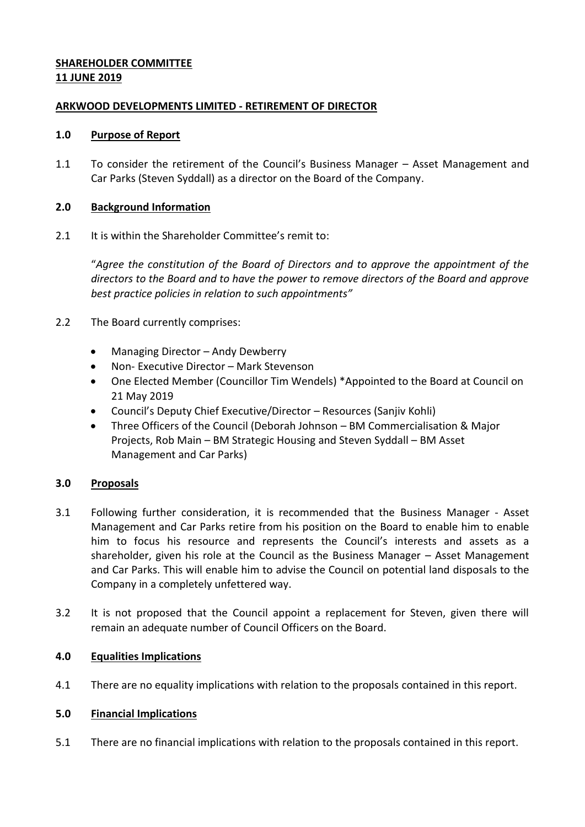# **SHAREHOLDER COMMITTEE 11 JUNE 2019**

# **ARKWOOD DEVELOPMENTS LIMITED - RETIREMENT OF DIRECTOR**

## **1.0 Purpose of Report**

1.1 To consider the retirement of the Council's Business Manager – Asset Management and Car Parks (Steven Syddall) as a director on the Board of the Company.

# **2.0 Background Information**

2.1 It is within the Shareholder Committee's remit to:

"*Agree the constitution of the Board of Directors and to approve the appointment of the directors to the Board and to have the power to remove directors of the Board and approve best practice policies in relation to such appointments"*

- 2.2 The Board currently comprises:
	- Managing Director Andy Dewberry
	- Non- Executive Director Mark Stevenson
	- One Elected Member (Councillor Tim Wendels) \*Appointed to the Board at Council on 21 May 2019
	- Council's Deputy Chief Executive/Director Resources (Sanjiv Kohli)
	- Three Officers of the Council (Deborah Johnson BM Commercialisation & Major Projects, Rob Main – BM Strategic Housing and Steven Syddall – BM Asset Management and Car Parks)

# **3.0 Proposals**

- 3.1 Following further consideration, it is recommended that the Business Manager Asset Management and Car Parks retire from his position on the Board to enable him to enable him to focus his resource and represents the Council's interests and assets as a shareholder, given his role at the Council as the Business Manager – Asset Management and Car Parks. This will enable him to advise the Council on potential land disposals to the Company in a completely unfettered way.
- 3.2 It is not proposed that the Council appoint a replacement for Steven, given there will remain an adequate number of Council Officers on the Board.

## **4.0 Equalities Implications**

4.1 There are no equality implications with relation to the proposals contained in this report.

## **5.0 Financial Implications**

5.1 There are no financial implications with relation to the proposals contained in this report.